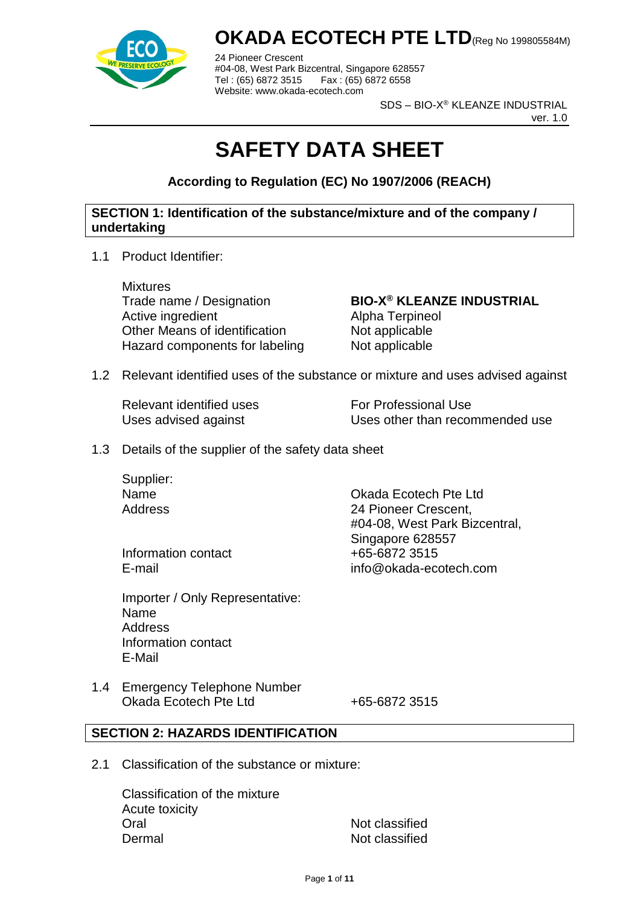

24 Pioneer Crescent #04-08, West Park Bizcentral, Singapore 628557 Fax : (65) 6872 6558 Website: www.okada-ecotech.com

SDS – BIO-X® KLEANZE INDUSTRIAL

ver. 1.0

# **SAFETY DATA SHEET**

**According to Regulation (EC) No 1907/2006 (REACH)**

#### **SECTION 1: Identification of the substance/mixture and of the company / undertaking**

1.1 Product Identifier:

**Mixtures** Trade name / Designation **BIO-X® KLEANZE INDUSTRIAL** Active ingredient **Alpha Terpineol** Other Means of identification Not applicable Hazard components for labeling Not applicable

1.2 Relevant identified uses of the substance or mixture and uses advised against

Relevant identified uses For Professional Use

Uses advised against Uses other than recommended use

1.3 Details of the supplier of the safety data sheet

Supplier:

Name Okada Ecotech Pte Ltd Address 24 Pioneer Crescent, #04-08, West Park Bizcentral, Singapore 628557 E-mail info@okada-ecotech.com

Information contact  $+65-68723515$ 

Importer / Only Representative: Name **Address** Information contact E-Mail

1.4 Emergency Telephone Number Okada Ecotech Pte Ltd +65-6872 3515

#### **SECTION 2: HAZARDS IDENTIFICATION**

2.1 Classification of the substance or mixture:

Classification of the mixture Acute toxicity Oral Not classified Dermal Not classified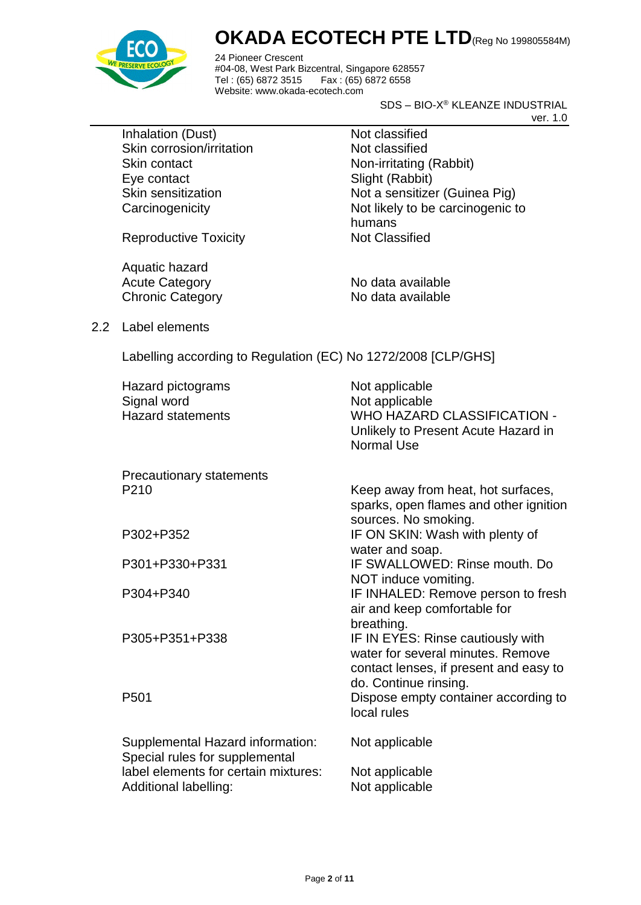

24 Pioneer Crescent #04-08, West Park Bizcentral, Singapore 628557 Fax : (65) 6872 6558 Website: www.okada-ecotech.com

SDS – BIO-X® KLEANZE INDUSTRIAL

ver. 1.0

Inhalation (Dust) Not classified Skin corrosion/irritation Not classified Skin contact Non-irritating (Rabbit) Eye contact Slight (Rabbit)

Skin sensitization Not a sensitizer (Guinea Pig) Carcinogenicity **Not likely to be carcinogenic to** humans

Reproductive Toxicity Not Classified

Aquatic hazard Acute Category No data available Chronic Category No data available

2.2 Label elements

Labelling according to Regulation (EC) No 1272/2008 [CLP/GHS]

| Hazard pictograms<br>Signal word<br><b>Hazard statements</b>       | Not applicable<br>Not applicable<br><b>WHO HAZARD CLASSIFICATION -</b><br>Unlikely to Present Acute Hazard in<br>Normal Use |
|--------------------------------------------------------------------|-----------------------------------------------------------------------------------------------------------------------------|
| <b>Precautionary statements</b>                                    |                                                                                                                             |
| P <sub>210</sub>                                                   | Keep away from heat, hot surfaces,<br>sparks, open flames and other ignition<br>sources. No smoking.                        |
| P302+P352                                                          | IF ON SKIN: Wash with plenty of<br>water and soap.                                                                          |
| P301+P330+P331                                                     | IF SWALLOWED: Rinse mouth, Do<br>NOT induce vomiting.                                                                       |
| P304+P340                                                          | IF INHALED: Remove person to fresh<br>air and keep comfortable for<br>breathing.                                            |
| P305+P351+P338                                                     | IF IN EYES: Rinse cautiously with<br>water for several minutes. Remove<br>contact lenses, if present and easy to            |
| P <sub>501</sub>                                                   | do. Continue rinsing.<br>Dispose empty container according to<br>local rules                                                |
| Supplemental Hazard information:<br>Special rules for supplemental | Not applicable                                                                                                              |
| label elements for certain mixtures:<br>Additional labelling:      | Not applicable<br>Not applicable                                                                                            |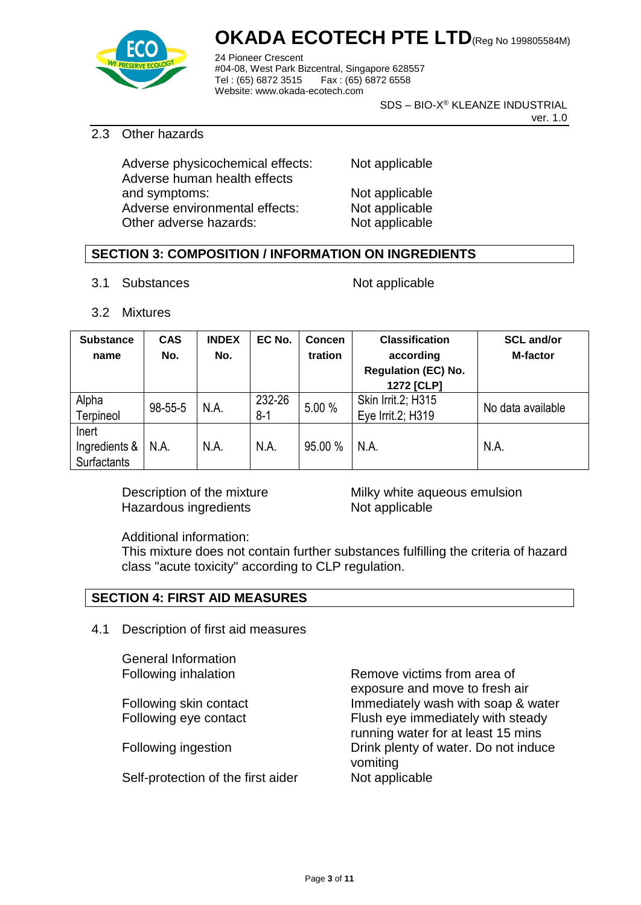

24 Pioneer Crescent #04-08, West Park Bizcentral, Singapore 628557 Fax : (65) 6872 6558 Website: www.okada-ecotech.com

SDS – BIO-X® KLEANZE INDUSTRIAL

ver. 1.0

#### 2.3 Other hazards

Adverse physicochemical effects: Not applicable Adverse human health effects and symptoms: Not applicable Adverse environmental effects: Not applicable Other adverse hazards: Not applicable

#### **SECTION 3: COMPOSITION / INFORMATION ON INGREDIENTS**

3.1 Substances Not applicable

3.2 Mixtures

| <b>Substance</b> | <b>CAS</b> | <b>INDEX</b> | EC No.  | Concen            | <b>Classification</b>                   | <b>SCL and/or</b> |
|------------------|------------|--------------|---------|-------------------|-----------------------------------------|-------------------|
| name             | No.        | No.          |         | tration           | according<br><b>Regulation (EC) No.</b> | <b>M-factor</b>   |
|                  |            |              |         |                   | 1272 [CLP]                              |                   |
| Alpha            | 98-55-5    | N.A.         | 232-26  | 5.00 %            | Skin Irrit.2; H315                      | No data available |
| Terpineol        |            |              | $8 - 1$ | Eye Irrit.2; H319 |                                         |                   |
| Inert            |            |              |         |                   |                                         |                   |
| Ingredients &    | N.A.       | N.A.         | N.A.    | 95.00 %           | N.A.                                    | N.A.              |
| Surfactants      |            |              |         |                   |                                         |                   |

Hazardous ingredients Not applicable

Description of the mixture **Milky** white aqueous emulsion

Additional information:

This mixture does not contain further substances fulfilling the criteria of hazard class "acute toxicity" according to CLP regulation.

#### **SECTION 4: FIRST AID MEASURES**

4.1 Description of first aid measures

General Information

Self-protection of the first aider Not applicable

Following inhalation **Remove victims from area of** exposure and move to fresh air Following skin contact Immediately wash with soap & water Following eye contact Flush eye immediately with steady running water for at least 15 mins Following ingestion **Drink plenty of water.** Do not induce vomiting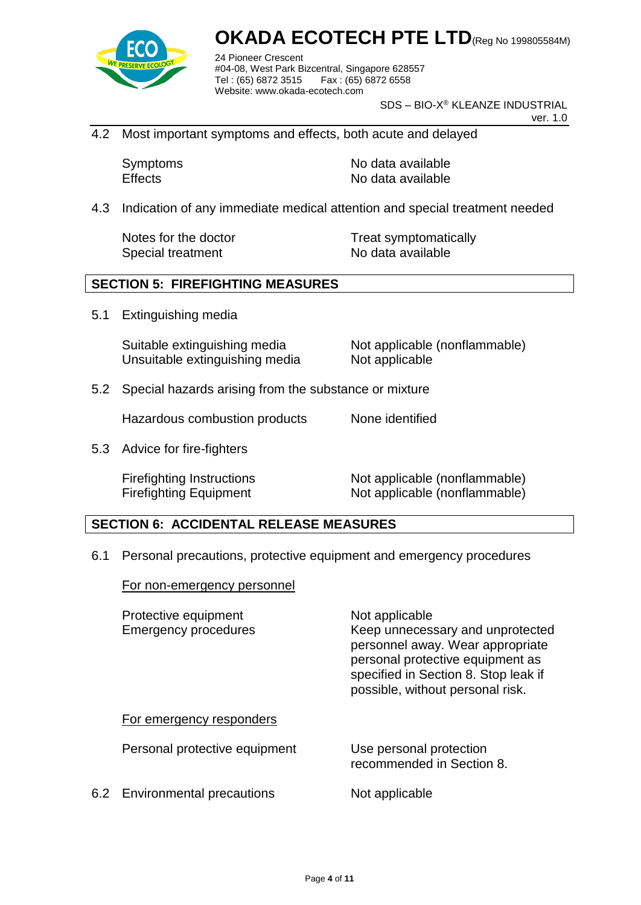

24 Pioneer Crescent #04-08, West Park Bizcentral, Singapore 628557 Fax : (65) 6872 6558 Website: www.okada-ecotech.com

SDS – BIO-X® KLEANZE INDUSTRIAL

ver. 1.0

4.2 Most important symptoms and effects, both acute and delayed

Symptoms No data available Effects No data available

4.3 Indication of any immediate medical attention and special treatment needed

Special treatment No data available

Notes for the doctor Treat symptomatically

#### **SECTION 5: FIREFIGHTING MEASURES**

5.1 Extinguishing media

Suitable extinguishing media Not applicable (nonflammable) Unsuitable extinguishing media Not applicable

5.2 Special hazards arising from the substance or mixture

Hazardous combustion products None identified

5.3 Advice for fire-fighters

Firefighting Instructions Not applicable (nonflammable) Firefighting Equipment Not applicable (nonflammable)

#### **SECTION 6: ACCIDENTAL RELEASE MEASURES**

6.1 Personal precautions, protective equipment and emergency procedures

For non-emergency personnel

| Protective equipment<br><b>Emergency procedures</b> | Not applicable<br>Keep unnecessary and unprotected<br>personnel away. Wear appropriate<br>personal protective equipment as<br>specified in Section 8. Stop leak if<br>possible, without personal risk. |
|-----------------------------------------------------|--------------------------------------------------------------------------------------------------------------------------------------------------------------------------------------------------------|
| For emergency responders                            |                                                                                                                                                                                                        |
| Personal protective equipment                       | Use personal protection<br>recommended in Section 8.                                                                                                                                                   |
| 6.2 Environmental precautions                       | Not applicable                                                                                                                                                                                         |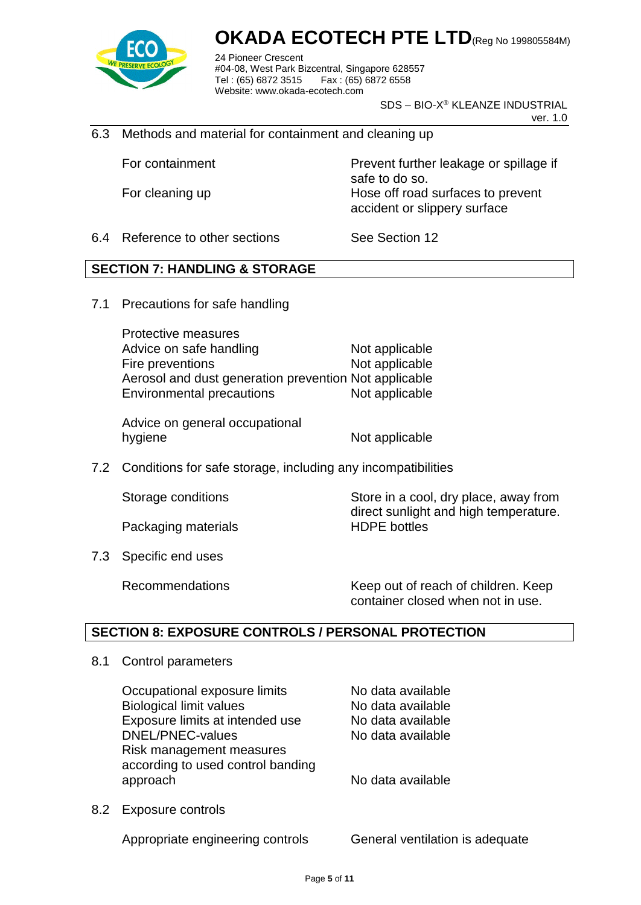

24 Pioneer Crescent #04-08, West Park Bizcentral, Singapore 628557 Fax: (65) 6872 6558 Website: www.okada-ecotech.com

SDS – BIO-X® KLEANZE INDUSTRIAL

ver. 1.0

6.3 Methods and material for containment and cleaning up

For containment **Prevent further leakage or spillage if** safe to do so. For cleaning up **Hose off road surfaces to prevent** accident or slippery surface

6.4 Reference to other sections See Section 12

#### **SECTION 7: HANDLING & STORAGE**

7.1 Precautions for safe handling

Protective measures Advice on safe handling Not applicable Fire preventions Not applicable Aerosol and dust generation prevention Not applicable Environmental precautions Not applicable

Advice on general occupational hygiene Not applicable

7.2 Conditions for safe storage, including any incompatibilities

Packaging materials **HDPE** bottles

Storage conditions Store in a cool, dry place, away from direct sunlight and high temperature.

7.3 Specific end uses

Recommendations Keep out of reach of children. Keep container closed when not in use.

#### **SECTION 8: EXPOSURE CONTROLS / PERSONAL PROTECTION**

8.1 Control parameters

Occupational exposure limits No data available Biological limit values No data available Exposure limits at intended use No data available DNEL/PNEC-values No data available Risk management measures according to used control banding approach approach approach no ben't be a vailable

8.2 Exposure controls

Appropriate engineering controls General ventilation is adequate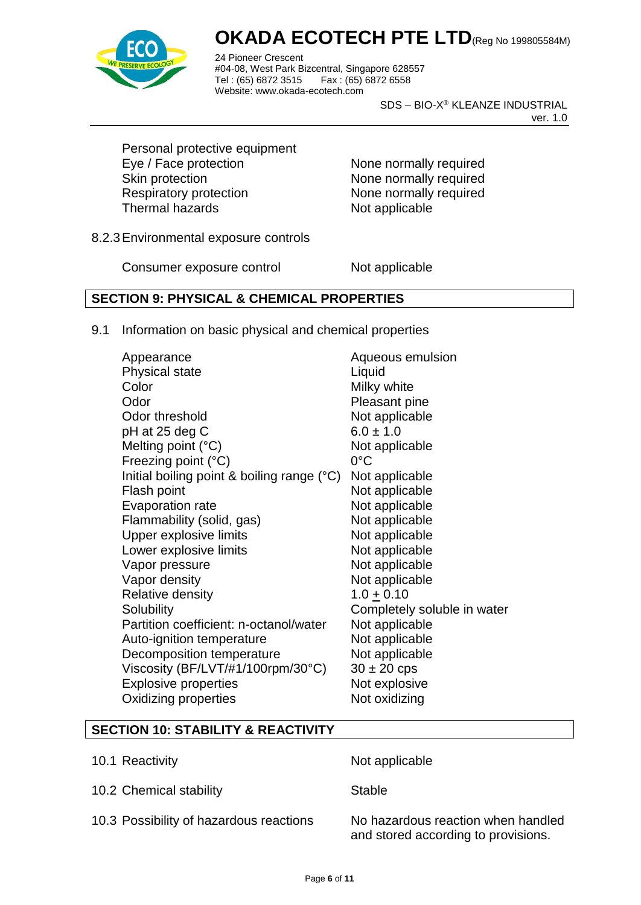

24 Pioneer Crescent #04-08, West Park Bizcentral, Singapore 628557 Fax : (65) 6872 6558 Website: www.okada-ecotech.com

SDS – BIO-X® KLEANZE INDUSTRIAL

ver. 1.0

Personal protective equipment Eye / Face protection None normally required Skin protection None normally required Respiratory protection None normally required Thermal hazards Not applicable

8.2.3Environmental exposure controls

Consumer exposure control Not applicable

### **SECTION 9: PHYSICAL & CHEMICAL PROPERTIES**

9.1 Information on basic physical and chemical properties

| Aqueous emulsion            |
|-----------------------------|
| Liquid                      |
| Milky white                 |
| Pleasant pine               |
| Not applicable              |
| $6.0 \pm 1.0$               |
| Not applicable              |
| $0^{\circ}$ C               |
| Not applicable              |
| Not applicable              |
| Not applicable              |
| Not applicable              |
| Not applicable              |
| Not applicable              |
| Not applicable              |
| Not applicable              |
| $1.0 \pm 0.10$              |
| Completely soluble in water |
| Not applicable              |
| Not applicable              |
| Not applicable              |
| $30 \pm 20$ cps             |
| Not explosive               |
| Not oxidizing               |
|                             |

#### **SECTION 10: STABILITY & REACTIVITY**

- 10.1 Reactivity **Not** applicable
- 10.2 Chemical stability Stable

10.3 Possibility of hazardous reactions No hazardous reaction when handled

and stored according to provisions.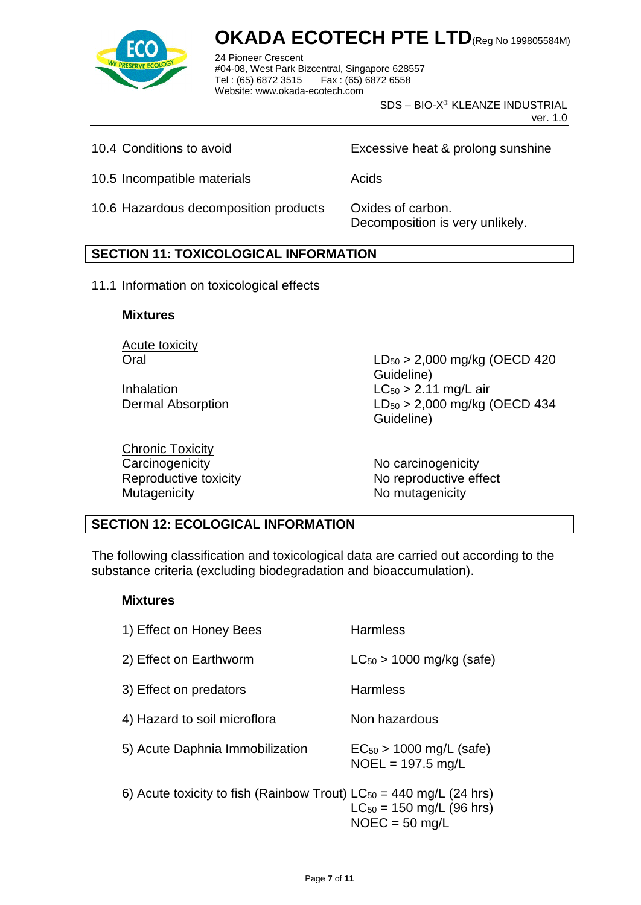

24 Pioneer Crescent #04-08, West Park Bizcentral, Singapore 628557 Fax : (65) 6872 6558 Website: www.okada-ecotech.com

> SDS – BIO-X® KLEANZE INDUSTRIAL ver. 1.0

10.4 Conditions to avoid Excessive heat & prolong sunshine

10.5 Incompatible materials **Acids** Acids

10.6 Hazardous decomposition products Oxides of carbon.

Decomposition is very unlikely.

#### **SECTION 11: TOXICOLOGICAL INFORMATION**

11.1 Information on toxicological effects

#### **Mixtures**

Acute toxicity

Chronic Toxicity Carcinogenicity **No carcinogenicity** No carcinogenicity Mutagenicity Mutagenicity Momutagenicity

Oral LD<sup>50</sup> > 2,000 mg/kg (OECD 420 Guideline) Inhalation  $LC_{50} > 2.11$  mg/L air Dermal Absorption LD<sub>50</sub> > 2,000 mg/kg (OECD 434 Guideline)

Reproductive toxicity No reproductive effect

#### **SECTION 12: ECOLOGICAL INFORMATION**

The following classification and toxicological data are carried out according to the substance criteria (excluding biodegradation and bioaccumulation).

#### **Mixtures**

| 1) Effect on Honey Bees                                                 | <b>Harmless</b>                                     |
|-------------------------------------------------------------------------|-----------------------------------------------------|
| 2) Effect on Earthworm                                                  | $LC_{50}$ > 1000 mg/kg (safe)                       |
| 3) Effect on predators                                                  | <b>Harmless</b>                                     |
| 4) Hazard to soil microflora                                            | Non hazardous                                       |
| 5) Acute Daphnia Immobilization                                         | $EC_{50}$ > 1000 mg/L (safe)<br>$NOEL = 197.5$ mg/L |
| 6) Acute toxicity to fish (Rainbow Trout) $LC_{50} = 440$ mg/L (24 hrs) | $LC_{50} = 150$ mg/L (96 hrs)<br>$NOEC = 50$ mg/L   |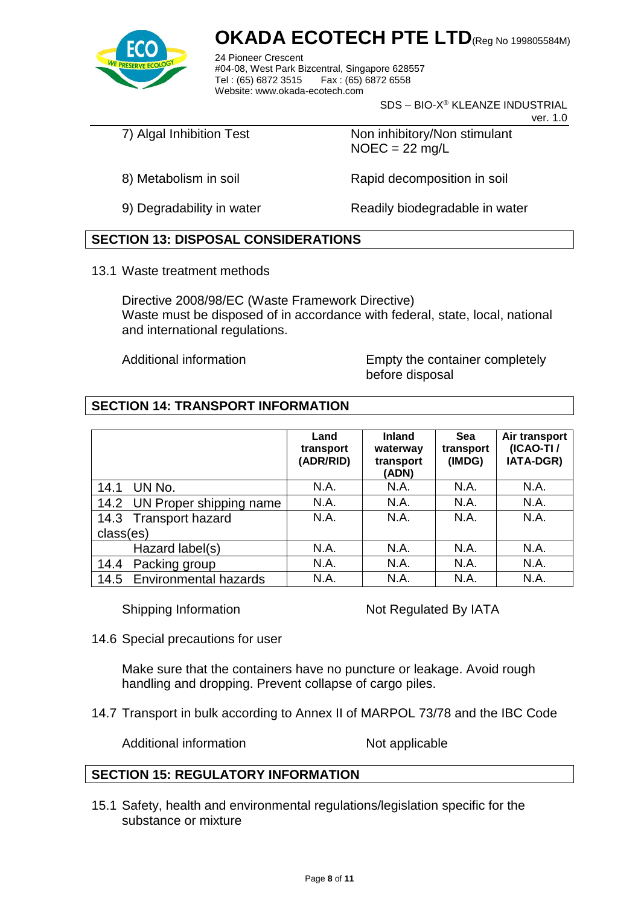

24 Pioneer Crescent #04-08, West Park Bizcentral, Singapore 628557 Tel: (65) 6872 3515 Website: www.okada-ecotech.com

SDS – BIO-X® KLEANZE INDUSTRIAL

ver. 1.0

7) Algal Inhibition Test Non inhibitory/Non stimulant  $NOEC = 22$  mg/L

8) Metabolism in soil **Rapid decomposition in soil** 

9) Degradability in water Readily biodegradable in water

### **SECTION 13: DISPOSAL CONSIDERATIONS**

13.1 Waste treatment methods

Directive 2008/98/EC (Waste Framework Directive) Waste must be disposed of in accordance with federal, state, local, national and international regulations.

Additional information Empty the container completely before disposal

### **SECTION 14: TRANSPORT INFORMATION**

|                              | Land<br>transport<br>(ADR/RID) | <b>Inland</b><br>waterway<br>transport<br>(ADN) | Sea<br>transport<br>(IMDG) | Air transport<br>(ICAO-TI/<br>IATA-DGR) |
|------------------------------|--------------------------------|-------------------------------------------------|----------------------------|-----------------------------------------|
| UN No.<br>14.1               | N.A.                           | N.A.                                            | N.A.                       | N.A.                                    |
| 14.2 UN Proper shipping name | N.A.                           | N.A.                                            | N.A.                       | N.A.                                    |
| 14.3 Transport hazard        | N.A.                           | N.A.                                            | N.A.                       | N.A.                                    |
| class(es)                    |                                |                                                 |                            |                                         |
| Hazard label(s)              | N.A.                           | N.A.                                            | N.A.                       | N.A.                                    |
| Packing group<br>14.4        | N.A.                           | N.A.                                            | N.A.                       | <b>N.A.</b>                             |
| 14.5 Environmental hazards   | N.A.                           | N.A.                                            | N.A.                       | N.A.                                    |

Shipping Information Not Regulated By IATA

14.6 Special precautions for user

Make sure that the containers have no puncture or leakage. Avoid rough handling and dropping. Prevent collapse of cargo piles.

14.7 Transport in bulk according to Annex II of MARPOL 73/78 and the IBC Code

Additional information Not applicable

#### **SECTION 15: REGULATORY INFORMATION**

15.1 Safety, health and environmental regulations/legislation specific for the substance or mixture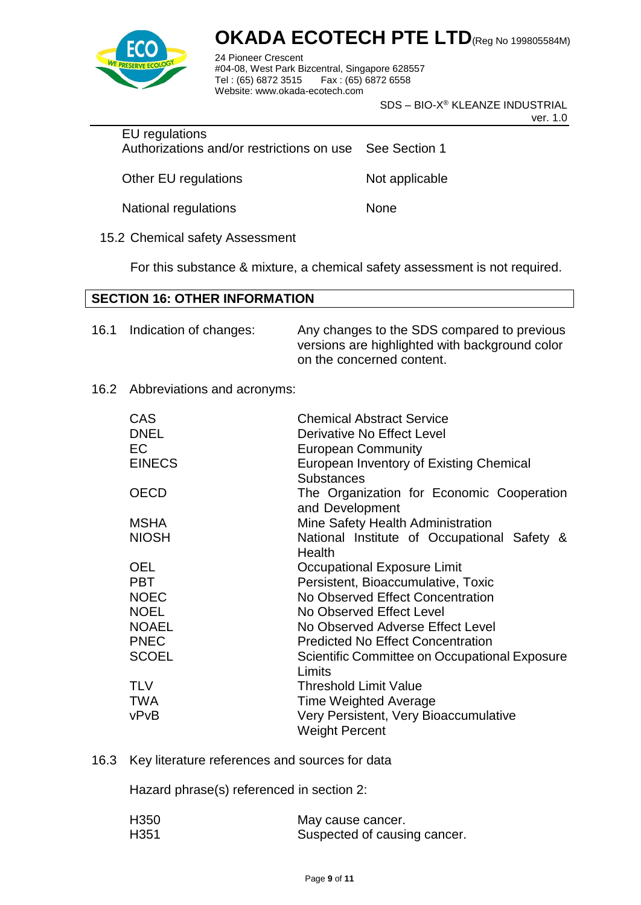

24 Pioneer Crescent #04-08, West Park Bizcentral, Singapore 628557 Fax : (65) 6872 6558 Website: www.okada-ecotech.com

SDS – BIO-X® KLEANZE INDUSTRIAL

ver. 1.0

EU regulations Authorizations and/or restrictions on use See Section 1

Other EU regulations Not applicable

National regulations None

15.2 Chemical safety Assessment

For this substance & mixture, a chemical safety assessment is not required.

#### **SECTION 16: OTHER INFORMATION**

| 16.1 | Indication of changes: | Any changes to the SDS compared to previous    |
|------|------------------------|------------------------------------------------|
|      |                        | versions are highlighted with background color |
|      |                        | on the concerned content.                      |

#### 16.2 Abbreviations and acronyms:

| <b>CAS</b><br><b>DNEL</b> | <b>Chemical Abstract Service</b><br>Derivative No Effect Level |
|---------------------------|----------------------------------------------------------------|
| EC                        | <b>European Community</b>                                      |
| <b>EINECS</b>             | European Inventory of Existing Chemical                        |
|                           | <b>Substances</b>                                              |
| <b>OECD</b>               | The Organization for Economic Cooperation<br>and Development   |
| <b>MSHA</b>               | Mine Safety Health Administration                              |
| <b>NIOSH</b>              | National Institute of Occupational Safety &<br>Health          |
| <b>OEL</b>                | Occupational Exposure Limit                                    |
| <b>PBT</b>                | Persistent, Bioaccumulative, Toxic                             |
| <b>NOEC</b>               | No Observed Effect Concentration                               |
| <b>NOEL</b>               | No Observed Effect Level                                       |
| <b>NOAEL</b>              | No Observed Adverse Effect Level                               |
| <b>PNEC</b>               | <b>Predicted No Effect Concentration</b>                       |
| <b>SCOEL</b>              | Scientific Committee on Occupational Exposure<br>Limits        |
| <b>TLV</b>                | Threshold Limit Value                                          |
| TWA                       | <b>Time Weighted Average</b>                                   |
| vPvB                      | Very Persistent, Very Bioaccumulative<br><b>Weight Percent</b> |
|                           |                                                                |

16.3 Key literature references and sources for data

Hazard phrase(s) referenced in section 2:

| H <sub>350</sub> | May cause cancer.            |
|------------------|------------------------------|
| H <sub>351</sub> | Suspected of causing cancer. |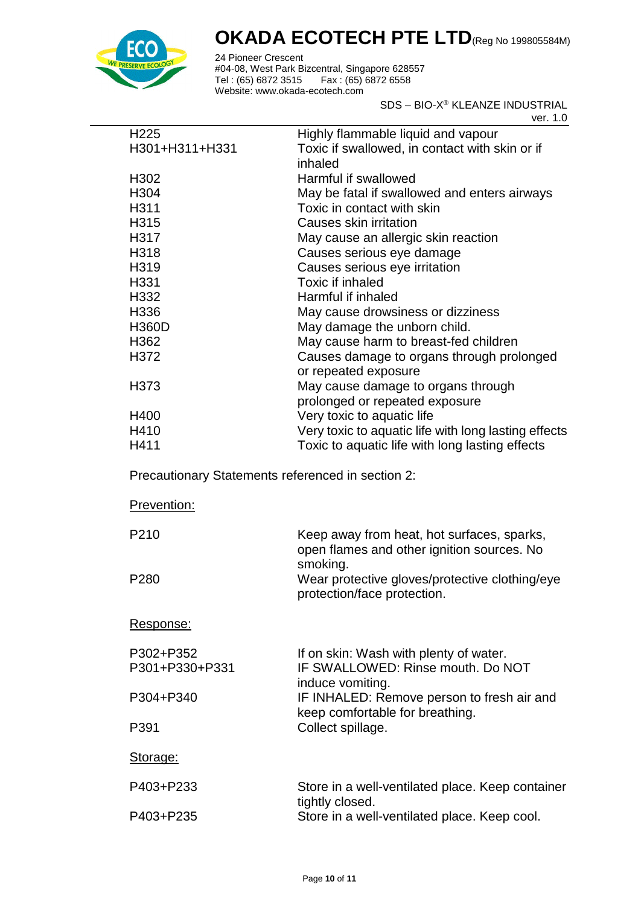

24 Pioneer Crescent #04-08, West Park Bizcentral, Singapore 628557 Tel : (65) 6872 3515 Fax : (65) 6872 6558 Website: www.okada-ecotech.com

SDS – BIO-X® KLEANZE INDUSTRIAL

ver. 1.0

| H <sub>225</sub> | Highly flammable liquid and vapour                   |
|------------------|------------------------------------------------------|
| H301+H311+H331   | Toxic if swallowed, in contact with skin or if       |
|                  | inhaled                                              |
| H <sub>302</sub> | Harmful if swallowed                                 |
| H304             | May be fatal if swallowed and enters airways         |
| H311             | Toxic in contact with skin                           |
| H315             | Causes skin irritation                               |
| H317             | May cause an allergic skin reaction                  |
| H318             | Causes serious eye damage                            |
| H319             | Causes serious eye irritation                        |
| H331             | Toxic if inhaled                                     |
| H332             | Harmful if inhaled                                   |
| H336             | May cause drowsiness or dizziness                    |
| <b>H360D</b>     | May damage the unborn child.                         |
| H362             | May cause harm to breast-fed children                |
| H372             | Causes damage to organs through prolonged            |
|                  | or repeated exposure                                 |
| H373             | May cause damage to organs through                   |
|                  | prolonged or repeated exposure                       |
| H400             | Very toxic to aquatic life                           |
| H410             | Very toxic to aquatic life with long lasting effects |
| H411             | Toxic to aquatic life with long lasting effects      |
|                  |                                                      |

Precautionary Statements referenced in section 2:

| Prevention:                 |                                                                                                 |
|-----------------------------|-------------------------------------------------------------------------------------------------|
| P <sub>210</sub>            | Keep away from heat, hot surfaces, sparks,<br>open flames and other ignition sources. No        |
| P <sub>280</sub>            | smoking.<br>Wear protective gloves/protective clothing/eye<br>protection/face protection.       |
| Response:                   |                                                                                                 |
| P302+P352<br>P301+P330+P331 | If on skin: Wash with plenty of water.<br>IF SWALLOWED: Rinse mouth, Do NOT<br>induce vomiting. |
| P304+P340                   | IF INHALED: Remove person to fresh air and<br>keep comfortable for breathing.                   |
| P391                        | Collect spillage.                                                                               |
| Storage:                    |                                                                                                 |
| P403+P233                   | Store in a well-ventilated place. Keep container<br>tightly closed.                             |
| P403+P235                   | Store in a well-ventilated place. Keep cool.                                                    |